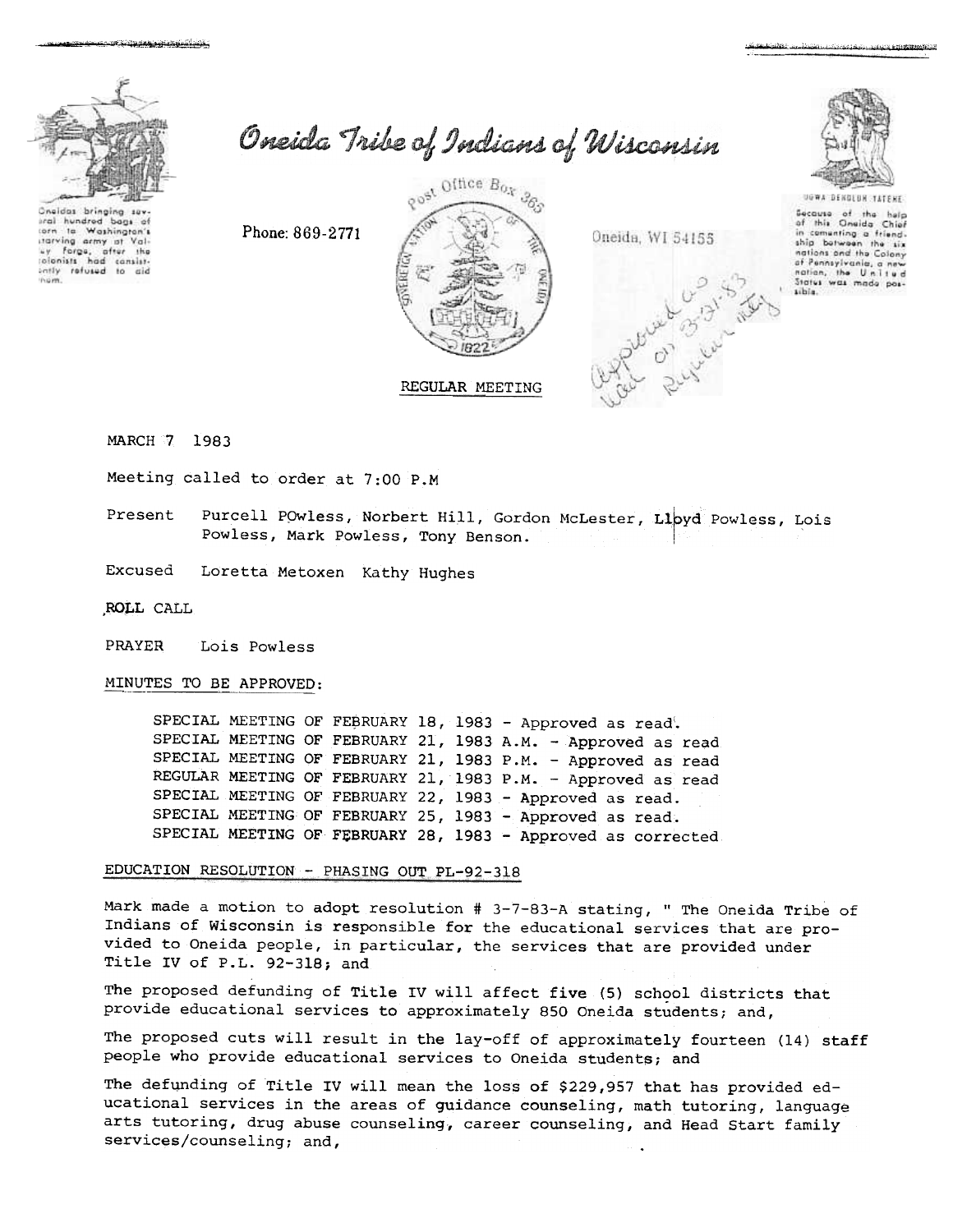

committee and the state of the state of the state of the state of the state of the state of the state of the state of the state of the state of the state of the state of the state of the state of the state of the state of

this m.

Oneida Tribe of Indians of Wisconsin

Phone: 869-2771



Oneida, WI 54155 Gel Buyeu- me



Secause of the help<br>of this Oneida Chief in comenting a friend. ship between the six nations and the Calony of Pennsylvania, a new nation, the Uni Status was made pos-

REGULAR MEETING

MARCH .7 1983

Meeting called to order at 7:00 P.M

Present Purcell POwless, Norbert Hill, Gordon McLester, Lloyd Powless, Lois Powless, Mark Powless, Tony Benson.

Excused Loretta Metoxen Kathy Hughes

.,ROLL CALL

PRAYER Lois Powless

MINUTES TO BE APPROVED:

SPECIAL MEETING OF FEBRUARY 18, 1983 - Approved as read. SPECIAL MEETING OF FEBRUARY 21, 1983 A.M. - Approved as read SPECIAL MEETING OF FEBRUARY 21, 1983 P.M. - Approved as read REGULAR MEETING OF FEBRUARY 21, 1983 P.M. - Approved as read SPECIAL MEETING OF FEBRUARY 22, 1983 - Approved as read. SPECIAL MEETING OF FEBRUARY 25, 1983 - Approved as read. SPECIAL MEETING OF FEBRUARY 28, 1983 - Approved as corrected

EDUCATION RESOLUTION -PHASING OUT PL-92-318

Mark made a motion to adopt resolution # 3-7-83-A stating, " The Oneida Tribe of Indians of Wisconsin is responsible for the educational services that are provided to Oneida people, in particular, the services that are provided under Title IV of P.L. 92-318; and

The proposed defunding of Title IV will affect five (5) school districts that provide educational services to approximately 850 Oneida students; and,

The proposed cuts will result in the lay-off of approximately fourteen (14) staff people who provide educational services to Oneida students; and

The defunding of Title IV will mean the loss of \$229,957 that has provided educational services in the areas of guidance counseling, math tutoring, language arts tutoring, drug abuse counseling, career counseling, and Head Start family services/counseling; and,